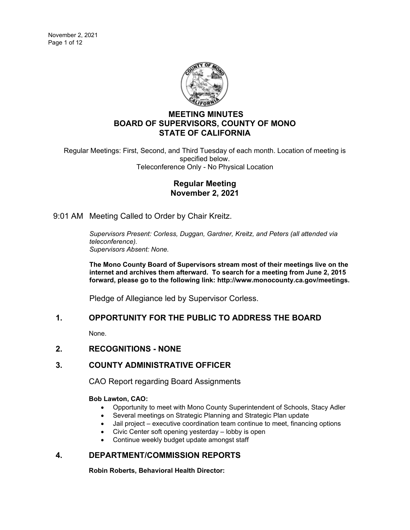

# **MEETING MINUTES BOARD OF SUPERVISORS, COUNTY OF MONO STATE OF CALIFORNIA**

Regular Meetings: First, Second, and Third Tuesday of each month. Location of meeting is specified below. Teleconference Only - No Physical Location

## **Regular Meeting November 2, 2021**

9:01 AM Meeting Called to Order by Chair Kreitz.

*Supervisors Present: Corless, Duggan, Gardner, Kreitz, and Peters (all attended via teleconference). Supervisors Absent: None.*

**The Mono County Board of Supervisors stream most of their meetings live on the internet and archives them afterward. To search for a meeting from June 2, 2015 forward, please go to the following link: [http://www.monocounty.ca.gov/meetings.](http://www.monocounty.ca.gov/meetings)**

Pledge of Allegiance led by Supervisor Corless.

# **1. OPPORTUNITY FOR THE PUBLIC TO ADDRESS THE BOARD**

None.

# **2. RECOGNITIONS - NONE**

# **3. COUNTY ADMINISTRATIVE OFFICER**

CAO Report regarding Board Assignments

## **Bob Lawton, CAO:**

- Opportunity to meet with Mono County Superintendent of Schools, Stacy Adler
- Several meetings on Strategic Planning and Strategic Plan update
- Jail project executive coordination team continue to meet, financing options
- Civic Center soft opening yesterday lobby is open
- Continue weekly budget update amongst staff

# **4. DEPARTMENT/COMMISSION REPORTS**

**Robin Roberts, Behavioral Health Director:**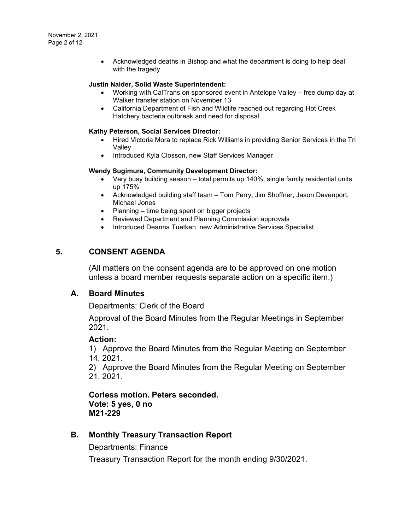• Acknowledged deaths in Bishop and what the department is doing to help deal with the tragedy

### **Justin Nalder, Solid Waste Superintendent:**

- Working with CalTrans on sponsored event in Antelope Valley free dump day at Walker transfer station on November 13
- California Department of Fish and Wildlife reached out regarding Hot Creek Hatchery bacteria outbreak and need for disposal

### **Kathy Peterson, Social Services Director:**

- Hired Victoria Mora to replace Rick Williams in providing Senior Services in the Tri Valley
- Introduced Kyla Closson, new Staff Services Manager

#### **Wendy Sugimura, Community Development Director:**

- Very busy building season total permits up 140%, single family residential units up 175%
- Acknowledged building staff team Tom Perry, Jim Shoffner, Jason Davenport, Michael Jones
- Planning time being spent on bigger projects
- Reviewed Department and Planning Commission approvals
- Introduced Deanna Tuetken, new Administrative Services Specialist

## **5. CONSENT AGENDA**

(All matters on the consent agenda are to be approved on one motion unless a board member requests separate action on a specific item.)

## **A. [Board Minutes](https://agenda.mono.ca.gov/AgendaWeb/CoverSheet.aspx?ItemID=13696&MeetingID=806)**

Departments: Clerk of the Board

Approval of the Board Minutes from the Regular Meetings in September 2021.

## **Action:**

1) Approve the Board Minutes from the Regular Meeting on September 14, 2021.

2) Approve the Board Minutes from the Regular Meeting on September 21, 2021.

**Corless motion. Peters seconded. Vote: 5 yes, 0 no M21-229**

# **B. [Monthly Treasury Transaction Report](https://agenda.mono.ca.gov/AgendaWeb/CoverSheet.aspx?ItemID=13701&MeetingID=806)**

Departments: Finance

Treasury Transaction Report for the month ending 9/30/2021.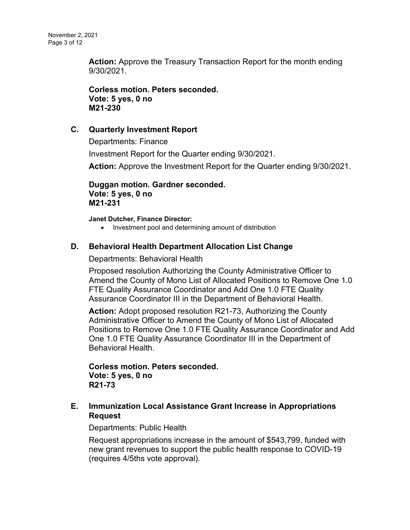**Action:** Approve the Treasury Transaction Report for the month ending 9/30/2021.

**Corless motion. Peters seconded. Vote: 5 yes, 0 no M21-230**

# **C. [Quarterly Investment Report](https://agenda.mono.ca.gov/AgendaWeb/CoverSheet.aspx?ItemID=13702&MeetingID=806)**

Departments: Finance

Investment Report for the Quarter ending 9/30/2021.

**Action:** Approve the Investment Report for the Quarter ending 9/30/2021.

**Duggan motion. Gardner seconded. Vote: 5 yes, 0 no M21-231**

**Janet Dutcher, Finance Director:**

• Investment pool and determining amount of distribution

# **D. [Behavioral Health Department Allocation List Change](https://agenda.mono.ca.gov/AgendaWeb/CoverSheet.aspx?ItemID=13692&MeetingID=806)**

Departments: Behavioral Health

Proposed resolution Authorizing the County Administrative Officer to Amend the County of Mono List of Allocated Positions to Remove One 1.0 FTE Quality Assurance Coordinator and Add One 1.0 FTE Quality Assurance Coordinator III in the Department of Behavioral Health.

**Action:** Adopt proposed resolution R21-73, Authorizing the County Administrative Officer to Amend the County of Mono List of Allocated Positions to Remove One 1.0 FTE Quality Assurance Coordinator and Add One 1.0 FTE Quality Assurance Coordinator III in the Department of Behavioral Health.

**Corless motion. Peters seconded. Vote: 5 yes, 0 no R21-73**

# **E. [Immunization Local Assistance Grant Increase in Appropriations](https://agenda.mono.ca.gov/AgendaWeb/CoverSheet.aspx?ItemID=13611&MeetingID=806)  [Request](https://agenda.mono.ca.gov/AgendaWeb/CoverSheet.aspx?ItemID=13611&MeetingID=806)**

Departments: Public Health

Request appropriations increase in the amount of \$543,799, funded with new grant revenues to support the public health response to COVID-19 (requires 4/5ths vote approval).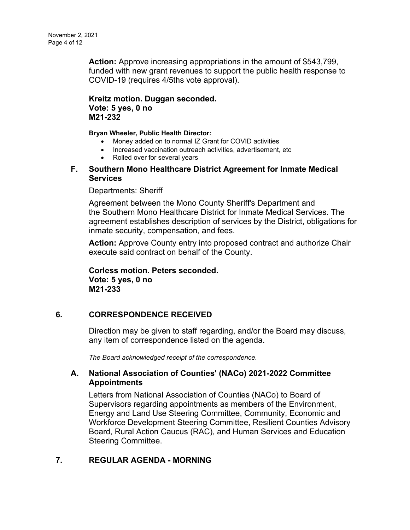**Action:** Approve increasing appropriations in the amount of \$543,799, funded with new grant revenues to support the public health response to COVID-19 (requires 4/5ths vote approval).

**Kreitz motion. Duggan seconded. Vote: 5 yes, 0 no M21-232**

**Bryan Wheeler, Public Health Director:**

- Money added on to normal IZ Grant for COVID activities
- Increased vaccination outreach activities, advertisement, etc
- Rolled over for several years
- **F. [Southern Mono Healthcare District Agreement for Inmate Medical](https://agenda.mono.ca.gov/AgendaWeb/CoverSheet.aspx?ItemID=13679&MeetingID=806)  [Services](https://agenda.mono.ca.gov/AgendaWeb/CoverSheet.aspx?ItemID=13679&MeetingID=806)**

## Departments: Sheriff

Agreement between the Mono County Sheriff's Department and the Southern Mono Healthcare District for Inmate Medical Services. The agreement establishes description of services by the District, obligations for inmate security, compensation, and fees.

**Action:** Approve County entry into proposed contract and authorize Chair execute said contract on behalf of the County.

**Corless motion. Peters seconded. Vote: 5 yes, 0 no M21-233**

# **6. CORRESPONDENCE RECEIVED**

Direction may be given to staff regarding, and/or the Board may discuss, any item of correspondence listed on the agenda.

*The Board acknowledged receipt of the correspondence.*

# **A. [National Association of Counties' \(NACo\) 2021-2022 Committee](https://agenda.mono.ca.gov/AgendaWeb/CoverSheet.aspx?ItemID=13714&MeetingID=806)  [Appointments](https://agenda.mono.ca.gov/AgendaWeb/CoverSheet.aspx?ItemID=13714&MeetingID=806)**

Letters from National Association of Counties (NACo) to Board of Supervisors regarding appointments as members of the Environment, Energy and Land Use Steering Committee, Community, Economic and Workforce Development Steering Committee, Resilient Counties Advisory Board, Rural Action Caucus (RAC), and Human Services and Education Steering Committee.

# **7. REGULAR AGENDA - MORNING**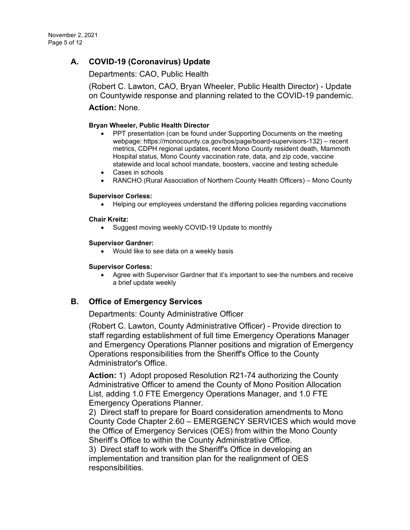# **A. [COVID-19 \(Coronavirus\) Update](https://agenda.mono.ca.gov/AgendaWeb/CoverSheet.aspx?ItemID=13577&MeetingID=806)**

Departments: CAO, Public Health

(Robert C. Lawton, CAO, Bryan Wheeler, Public Health Director) - Update on Countywide response and planning related to the COVID-19 pandemic.

**Action:** None.

### **Bryan Wheeler, Public Health Director**

- PPT presentation (can be found under Supporting Documents on the meeting webpage: https://monocounty.ca.gov/bos/page/board-supervisors-132) – recent metrics, CDPH regional updates, recent Mono County resident death, Mammoth Hospital status, Mono County vaccination rate, data, and zip code, vaccine statewide and local school mandate, boosters, vaccine and testing schedule
- Cases in schools
- RANCHO (Rural Association of Northern County Health Officers) Mono County

#### **Supervisor Corless:**

• Helping our employees understand the differing policies regarding vaccinations

### **Chair Kreitz:**

• Suggest moving weekly COVID-19 Update to monthly

#### **Supervisor Gardner:**

• Would like to see data on a weekly basis

#### **Supervisor Corless:**

• Agree with Supervisor Gardner that it's important to see the numbers and receive a brief update weekly

# **B. [Office of Emergency Services](https://agenda.mono.ca.gov/AgendaWeb/CoverSheet.aspx?ItemID=13729&MeetingID=806)**

Departments: County Administrative Officer

(Robert C. Lawton, County Administrative Officer) - Provide direction to staff regarding establishment of full time Emergency Operations Manager and Emergency Operations Planner positions and migration of Emergency Operations responsibilities from the Sheriff's Office to the County Administrator's Office.

**Action:** 1) Adopt proposed Resolution R21-74 authorizing the County Administrative Officer to amend the County of Mono Position Allocation List, adding 1.0 FTE Emergency Operations Manager, and 1.0 FTE Emergency Operations Planner.

2) Direct staff to prepare for Board consideration amendments to Mono County Code Chapter 2.60 – EMERGENCY SERVICES which would move the Office of Emergency Services (OES) from within the Mono County Sheriff's Office to within the County Administrative Office.

3) Direct staff to work with the Sheriff's Office in developing an implementation and transition plan for the realignment of OES responsibilities.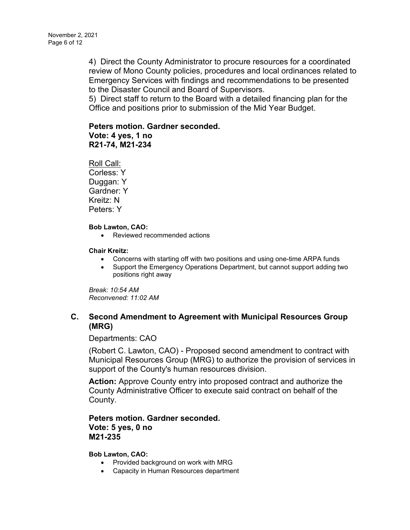4) Direct the County Administrator to procure resources for a coordinated review of Mono County policies, procedures and local ordinances related to Emergency Services with findings and recommendations to be presented to the Disaster Council and Board of Supervisors.

5) Direct staff to return to the Board with a detailed financing plan for the Office and positions prior to submission of the Mid Year Budget.

## **Peters motion. Gardner seconded.**

**Vote: 4 yes, 1 no R21-74, M21-234**

Roll Call: Corless: Y Duggan: Y Gardner: Y Kreitz: N Peters: Y

### **Bob Lawton, CAO:**

• Reviewed recommended actions

### **Chair Kreitz:**

- Concerns with starting off with two positions and using one-time ARPA funds
- Support the Emergency Operations Department, but cannot support adding two positions right away

*Break: 10:54 AM Reconvened: 11:02 AM*

# **C. [Second Amendment to Agreement with Municipal Resources Group](https://agenda.mono.ca.gov/AgendaWeb/CoverSheet.aspx?ItemID=13709&MeetingID=806)  [\(MRG\)](https://agenda.mono.ca.gov/AgendaWeb/CoverSheet.aspx?ItemID=13709&MeetingID=806)**

Departments: CAO

(Robert C. Lawton, CAO) - Proposed second amendment to contract with Municipal Resources Group (MRG) to authorize the provision of services in support of the County's human resources division.

**Action:** Approve County entry into proposed contract and authorize the County Administrative Officer to execute said contract on behalf of the County.

**Peters motion. Gardner seconded. Vote: 5 yes, 0 no M21-235**

### **Bob Lawton, CAO:**

- Provided background on work with MRG
- Capacity in Human Resources department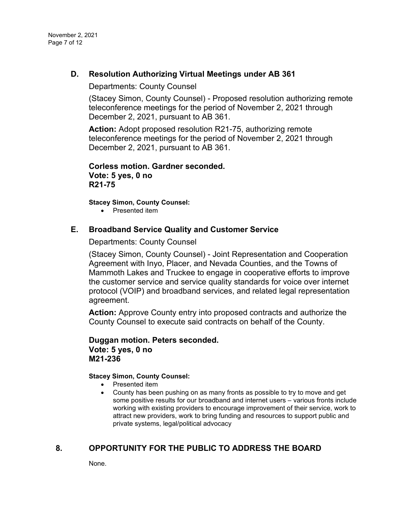# **D. [Resolution Authorizing Virtual Meetings under AB 361](https://agenda.mono.ca.gov/AgendaWeb/CoverSheet.aspx?ItemID=13663&MeetingID=806)**

Departments: County Counsel

(Stacey Simon, County Counsel) - Proposed resolution authorizing remote teleconference meetings for the period of November 2, 2021 through December 2, 2021, pursuant to AB 361.

**Action:** Adopt proposed resolution R21-75, authorizing remote teleconference meetings for the period of November 2, 2021 through December 2, 2021, pursuant to AB 361.

**Corless motion. Gardner seconded. Vote: 5 yes, 0 no R21-75**

**Stacey Simon, County Counsel:**

• Presented item

## **E. [Broadband Service Quality and Customer Service](https://agenda.mono.ca.gov/AgendaWeb/CoverSheet.aspx?ItemID=13720&MeetingID=806)**

Departments: County Counsel

(Stacey Simon, County Counsel) - Joint Representation and Cooperation Agreement with Inyo, Placer, and Nevada Counties, and the Towns of Mammoth Lakes and Truckee to engage in cooperative efforts to improve the customer service and service quality standards for voice over internet protocol (VOIP) and broadband services, and related legal representation agreement.

**Action:** Approve County entry into proposed contracts and authorize the County Counsel to execute said contracts on behalf of the County.

**Duggan motion. Peters seconded. Vote: 5 yes, 0 no M21-236**

### **Stacey Simon, County Counsel:**

- Presented item
- County has been pushing on as many fronts as possible to try to move and get some positive results for our broadband and internet users – various fronts include working with existing providers to encourage improvement of their service, work to attract new providers, work to bring funding and resources to support public and private systems, legal/political advocacy

# **8. OPPORTUNITY FOR THE PUBLIC TO ADDRESS THE BOARD**

None.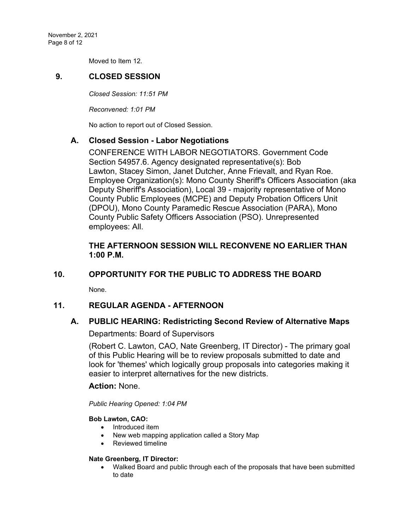November 2, 2021 Page 8 of 12

Moved to Item 12.

## **9. CLOSED SESSION**

*Closed Session: 11:51 PM* 

*Reconvened: 1:01 PM*

No action to report out of Closed Session.

## **A. Closed Session - [Labor Negotiations](https://agenda.mono.ca.gov/AgendaWeb/CoverSheet.aspx?ItemID=13579&MeetingID=806)**

CONFERENCE WITH LABOR NEGOTIATORS. Government Code Section 54957.6. Agency designated representative(s): Bob Lawton, Stacey Simon, Janet Dutcher, Anne Frievalt, and Ryan Roe. Employee Organization(s): Mono County Sheriff's Officers Association (aka Deputy Sheriff's Association), Local 39 - majority representative of Mono County Public Employees (MCPE) and Deputy Probation Officers Unit (DPOU), Mono County Paramedic Rescue Association (PARA), Mono County Public Safety Officers Association (PSO). Unrepresented employees: All.

## **THE AFTERNOON SESSION WILL RECONVENE NO EARLIER THAN 1:00 P.M.**

# **10. OPPORTUNITY FOR THE PUBLIC TO ADDRESS THE BOARD**

None.

## **11. REGULAR AGENDA - AFTERNOON**

## **A. [PUBLIC HEARING: Redistricting Second Review of Alternative Maps](https://agenda.mono.ca.gov/AgendaWeb/CoverSheet.aspx?ItemID=13628&MeetingID=806)**

## Departments: Board of Supervisors

(Robert C. Lawton, CAO, Nate Greenberg, IT Director) - The primary goal of this Public Hearing will be to review proposals submitted to date and look for 'themes' which logically group proposals into categories making it easier to interpret alternatives for the new districts.

## **Action:** None.

*Public Hearing Opened: 1:04 PM*

### **Bob Lawton, CAO:**

- Introduced item
- New web mapping application called a Story Map
- Reviewed timeline

### **Nate Greenberg, IT Director:**

• Walked Board and public through each of the proposals that have been submitted to date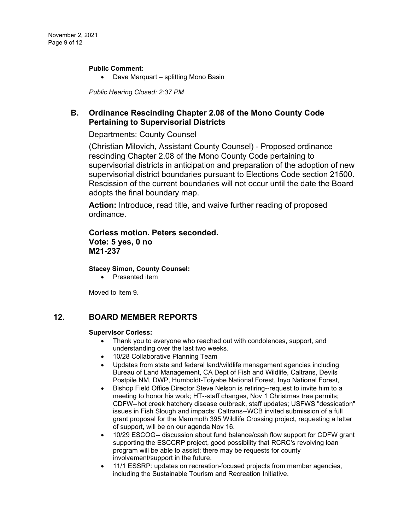#### **Public Comment:**

• Dave Marquart – splitting Mono Basin

*Public Hearing Closed: 2:37 PM*

# **B. [Ordinance Rescinding Chapter 2.08 of the Mono County Code](https://agenda.mono.ca.gov/AgendaWeb/CoverSheet.aspx?ItemID=13716&MeetingID=806)  [Pertaining to Supervisorial Districts](https://agenda.mono.ca.gov/AgendaWeb/CoverSheet.aspx?ItemID=13716&MeetingID=806)**

Departments: County Counsel

(Christian Milovich, Assistant County Counsel) - Proposed ordinance rescinding Chapter 2.08 of the Mono County Code pertaining to supervisorial districts in anticipation and preparation of the adoption of new supervisorial district boundaries pursuant to Elections Code section 21500. Rescission of the current boundaries will not occur until the date the Board adopts the final boundary map.

**Action:** Introduce, read title, and waive further reading of proposed ordinance.

## **Corless motion. Peters seconded. Vote: 5 yes, 0 no M21-237**

**Stacey Simon, County Counsel:**

• Presented item

Moved to Item 9.

# **12. BOARD MEMBER REPORTS**

#### **Supervisor Corless:**

- Thank you to everyone who reached out with condolences, support, and understanding over the last two weeks.
- 10/28 Collaborative Planning Team
- Updates from state and federal land/wildlife management agencies including Bureau of Land Management, CA Dept of Fish and Wildlife, Caltrans, Devils Postpile NM, DWP, Humboldt-Toiyabe National Forest, Inyo National Forest,
- Bishop Field Office Director Steve Nelson is retiring--request to invite him to a meeting to honor his work; HT--staff changes, Nov 1 Christmas tree permits; CDFW--hot creek hatchery disease outbreak, staff updates; USFWS "dessication" issues in Fish Slough and impacts; Caltrans--WCB invited submission of a full grant proposal for the Mammoth 395 Wildlife Crossing project, requesting a letter of support, will be on our agenda Nov 16.
- 10/29 ESCOG-- discussion about fund balance/cash flow support for CDFW grant supporting the ESCCRP project, good possibility that RCRC's revolving loan program will be able to assist; there may be requests for county involvement/support in the future.
- 11/1 ESSRP: updates on recreation-focused projects from member agencies, including the Sustainable Tourism and Recreation Initiative.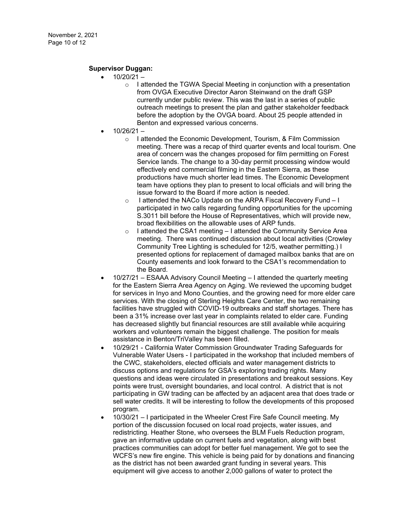### **Supervisor Duggan:**

- $10/20/21$ 
	- o I attended the TGWA Special Meeting in conjunction with a presentation from OVGA Executive Director Aaron Steinwand on the draft GSP currently under public review. This was the last in a series of public outreach meetings to present the plan and gather stakeholder feedback before the adoption by the OVGA board. About 25 people attended in Benton and expressed various concerns.
- 10/26/21
	- o I attended the Economic Development, Tourism, & Film Commission meeting. There was a recap of third quarter events and local tourism. One area of concern was the changes proposed for film permitting on Forest Service lands. The change to a 30-day permit processing window would effectively end commercial filming in the Eastern Sierra, as these productions have much shorter lead times. The Economic Development team have options they plan to present to local officials and will bring the issue forward to the Board if more action is needed.
	- o I attended the NACo Update on the ARPA Fiscal Recovery Fund I participated in two calls regarding funding opportunities for the upcoming S.3011 bill before the House of Representatives, which will provide new, broad flexibilities on the allowable uses of ARP funds.
	- I attended the CSA1 meeting I attended the Community Service Area meeting. There was continued discussion about local activities (Crowley Community Tree Lighting is scheduled for 12/5, weather permitting.) I presented options for replacement of damaged mailbox banks that are on County easements and look forward to the CSA1's recommendation to the Board.
- 10/27/21 ESAAA Advisory Council Meeting I attended the quarterly meeting for the Eastern Sierra Area Agency on Aging. We reviewed the upcoming budget for services in Inyo and Mono Counties, and the growing need for more elder care services. With the closing of Sterling Heights Care Center, the two remaining facilities have struggled with COVID-19 outbreaks and staff shortages. There has been a 31% increase over last year in complaints related to elder care. Funding has decreased slightly but financial resources are still available while acquiring workers and volunteers remain the biggest challenge. The position for meals assistance in Benton/TriValley has been filled.
- 10/29/21 California Water Commission Groundwater Trading Safeguards for Vulnerable Water Users - I participated in the workshop that included members of the CWC, stakeholders, elected officials and water management districts to discuss options and regulations for GSA's exploring trading rights. Many questions and ideas were circulated in presentations and breakout sessions. Key points were trust, oversight boundaries, and local control. A district that is not participating in GW trading can be affected by an adjacent area that does trade or sell water credits. It will be interesting to follow the developments of this proposed program.
- 10/30/21 I participated in the Wheeler Crest Fire Safe Council meeting. My portion of the discussion focused on local road projects, water issues, and redistricting. Heather Stone, who oversees the BLM Fuels Reduction program, gave an informative update on current fuels and vegetation, along with best practices communities can adopt for better fuel management. We got to see the WCFS's new fire engine. This vehicle is being paid for by donations and financing as the district has not been awarded grant funding in several years. This equipment will give access to another 2,000 gallons of water to protect the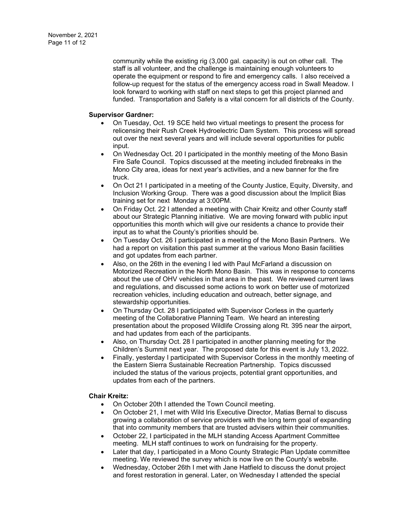community while the existing rig (3,000 gal. capacity) is out on other call. The staff is all volunteer, and the challenge is maintaining enough volunteers to operate the equipment or respond to fire and emergency calls. I also received a follow-up request for the status of the emergency access road in Swall Meadow. I look forward to working with staff on next steps to get this project planned and funded. Transportation and Safety is a vital concern for all districts of the County.

#### **Supervisor Gardner:**

- On Tuesday, Oct. 19 SCE held two virtual meetings to present the process for relicensing their Rush Creek Hydroelectric Dam System. This process will spread out over the next several years and will include several opportunities for public input.
- On Wednesday Oct. 20 I participated in the monthly meeting of the Mono Basin Fire Safe Council. Topics discussed at the meeting included firebreaks in the Mono City area, ideas for next year's activities, and a new banner for the fire truck.
- On Oct 21 I participated in a meeting of the County Justice, Equity, Diversity, and Inclusion Working Group. There was a good discussion about the Implicit Bias training set for next Monday at 3:00PM.
- On Friday Oct. 22 I attended a meeting with Chair Kreitz and other County staff about our Strategic Planning initiative. We are moving forward with public input opportunities this month which will give our residents a chance to provide their input as to what the County's priorities should be.
- On Tuesday Oct. 26 I participated in a meeting of the Mono Basin Partners. We had a report on visitation this past summer at the various Mono Basin facilities and got updates from each partner.
- Also, on the 26th in the evening I led with Paul McFarland a discussion on Motorized Recreation in the North Mono Basin. This was in response to concerns about the use of OHV vehicles in that area in the past. We reviewed current laws and regulations, and discussed some actions to work on better use of motorized recreation vehicles, including education and outreach, better signage, and stewardship opportunities.
- On Thursday Oct. 28 I participated with Supervisor Corless in the quarterly meeting of the Collaborative Planning Team. We heard an interesting presentation about the proposed Wildlife Crossing along Rt. 395 near the airport, and had updates from each of the participants.
- Also, on Thursday Oct. 28 I participated in another planning meeting for the Children's Summit next year. The proposed date for this event is July 13, 2022.
- Finally, yesterday I participated with Supervisor Corless in the monthly meeting of the Eastern Sierra Sustainable Recreation Partnership. Topics discussed included the status of the various projects, potential grant opportunities, and updates from each of the partners.

### **Chair Kreitz:**

- On October 20th I attended the Town Council meeting.
- On October 21, I met with Wild Iris Executive Director, Matias Bernal to discuss growing a collaboration of service providers with the long term goal of expanding that into community members that are trusted advisers within their communities.
- October 22, I participated in the MLH standing Access Apartment Committee meeting. MLH staff continues to work on fundraising for the property.
- Later that day, I participated in a Mono County Strategic Plan Update committee meeting. We reviewed the survey which is now live on the County's website.
- Wednesday, October 26th I met with Jane Hatfield to discuss the donut project and forest restoration in general. Later, on Wednesday I attended the special